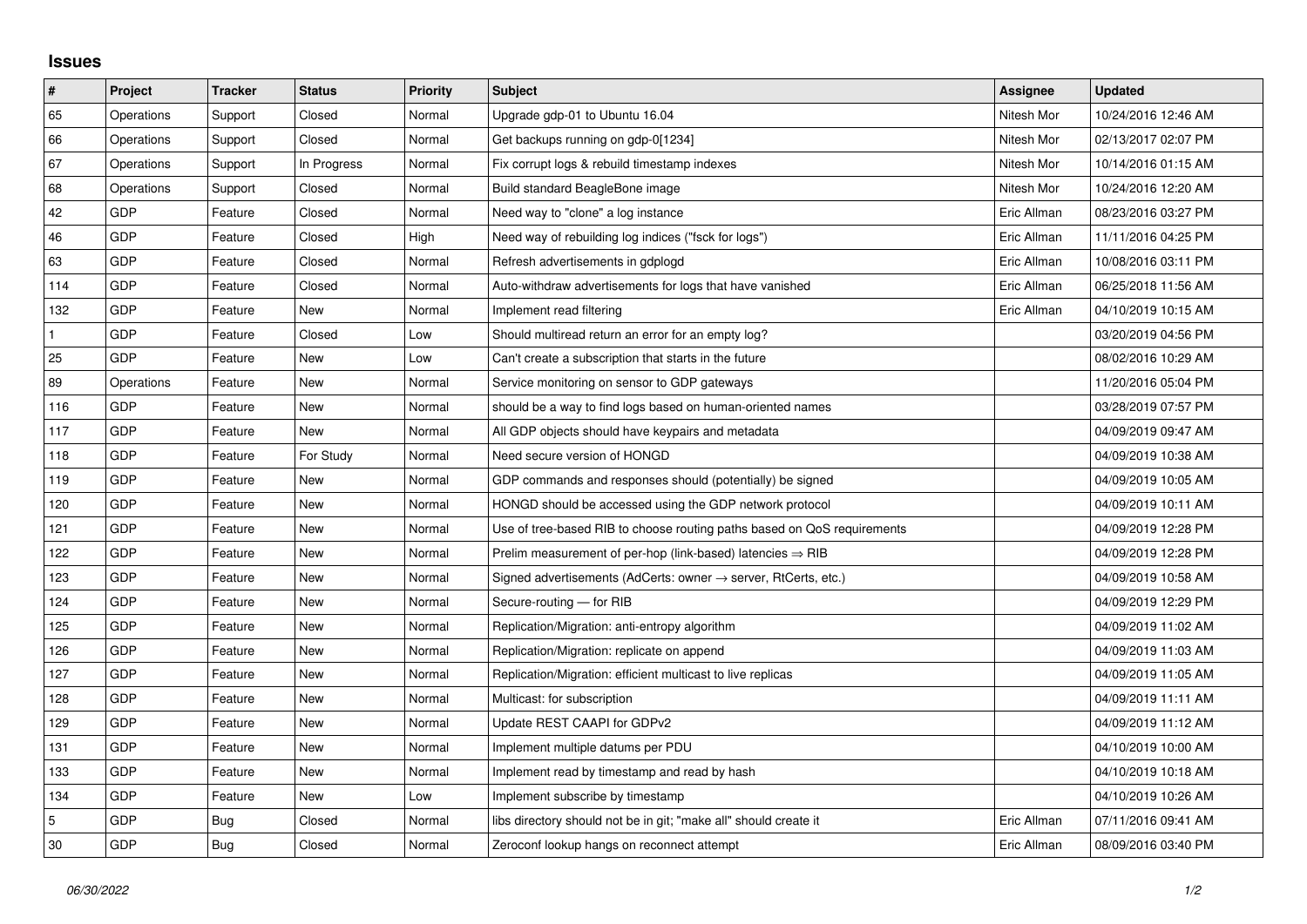## **Issues**

| $\vert$ #    | Project    | <b>Tracker</b> | <b>Status</b> | <b>Priority</b> | <b>Subject</b>                                                             | Assignee    | <b>Updated</b>      |
|--------------|------------|----------------|---------------|-----------------|----------------------------------------------------------------------------|-------------|---------------------|
| 65           | Operations | Support        | Closed        | Normal          | Upgrade gdp-01 to Ubuntu 16.04                                             | Nitesh Mor  | 10/24/2016 12:46 AM |
| 66           | Operations | Support        | Closed        | Normal          | Get backups running on gdp-0[1234]                                         | Nitesh Mor  | 02/13/2017 02:07 PM |
| 67           | Operations | Support        | In Progress   | Normal          | Fix corrupt logs & rebuild timestamp indexes                               | Nitesh Mor  | 10/14/2016 01:15 AM |
| 68           | Operations | Support        | Closed        | Normal          | Build standard BeagleBone image                                            | Nitesh Mor  | 10/24/2016 12:20 AM |
| 42           | <b>GDP</b> | Feature        | Closed        | Normal          | Need way to "clone" a log instance                                         | Eric Allman | 08/23/2016 03:27 PM |
| 46           | <b>GDP</b> | Feature        | Closed        | High            | Need way of rebuilding log indices ("fsck for logs")                       | Eric Allman | 11/11/2016 04:25 PM |
| 63           | <b>GDP</b> | Feature        | Closed        | Normal          | Refresh advertisements in gdplogd                                          | Eric Allman | 10/08/2016 03:11 PM |
| 114          | <b>GDP</b> | Feature        | Closed        | Normal          | Auto-withdraw advertisements for logs that have vanished                   | Eric Allman | 06/25/2018 11:56 AM |
| 132          | <b>GDP</b> | Feature        | New           | Normal          | Implement read filtering                                                   | Eric Allman | 04/10/2019 10:15 AM |
| $\mathbf{1}$ | <b>GDP</b> | Feature        | Closed        | Low             | Should multiread return an error for an empty log?                         |             | 03/20/2019 04:56 PM |
| 25           | <b>GDP</b> | Feature        | <b>New</b>    | Low             | Can't create a subscription that starts in the future                      |             | 08/02/2016 10:29 AM |
| 89           | Operations | Feature        | New           | Normal          | Service monitoring on sensor to GDP gateways                               |             | 11/20/2016 05:04 PM |
| 116          | <b>GDP</b> | Feature        | <b>New</b>    | Normal          | should be a way to find logs based on human-oriented names                 |             | 03/28/2019 07:57 PM |
| 117          | <b>GDP</b> | Feature        | New           | Normal          | All GDP objects should have keypairs and metadata                          |             | 04/09/2019 09:47 AM |
| 118          | <b>GDP</b> | Feature        | For Study     | Normal          | Need secure version of HONGD                                               |             | 04/09/2019 10:38 AM |
| 119          | <b>GDP</b> | Feature        | New           | Normal          | GDP commands and responses should (potentially) be signed                  |             | 04/09/2019 10:05 AM |
| 120          | <b>GDP</b> | Feature        | <b>New</b>    | Normal          | HONGD should be accessed using the GDP network protocol                    |             | 04/09/2019 10:11 AM |
| 121          | <b>GDP</b> | Feature        | New           | Normal          | Use of tree-based RIB to choose routing paths based on QoS requirements    |             | 04/09/2019 12:28 PM |
| 122          | <b>GDP</b> | Feature        | <b>New</b>    | Normal          | Prelim measurement of per-hop (link-based) latencies $\Rightarrow$ RIB     |             | 04/09/2019 12:28 PM |
| 123          | <b>GDP</b> | Feature        | New           | Normal          | Signed advertisements (AdCerts: owner $\rightarrow$ server, RtCerts, etc.) |             | 04/09/2019 10:58 AM |
| 124          | <b>GDP</b> | Feature        | New           | Normal          | Secure-routing - for RIB                                                   |             | 04/09/2019 12:29 PM |
| 125          | <b>GDP</b> | Feature        | New           | Normal          | Replication/Migration: anti-entropy algorithm                              |             | 04/09/2019 11:02 AM |
| 126          | <b>GDP</b> | Feature        | New           | Normal          | Replication/Migration: replicate on append                                 |             | 04/09/2019 11:03 AM |
| 127          | <b>GDP</b> | Feature        | New           | Normal          | Replication/Migration: efficient multicast to live replicas                |             | 04/09/2019 11:05 AM |
| 128          | <b>GDP</b> | Feature        | <b>New</b>    | Normal          | Multicast: for subscription                                                |             | 04/09/2019 11:11 AM |
| 129          | <b>GDP</b> | Feature        | New           | Normal          | Update REST CAAPI for GDPv2                                                |             | 04/09/2019 11:12 AM |
| 131          | <b>GDP</b> | Feature        | New           | Normal          | Implement multiple datums per PDU                                          |             | 04/10/2019 10:00 AM |
| 133          | <b>GDP</b> | Feature        | <b>New</b>    | Normal          | Implement read by timestamp and read by hash                               |             | 04/10/2019 10:18 AM |
| 134          | GDP        | Feature        | New           | Low             | Implement subscribe by timestamp                                           |             | 04/10/2019 10:26 AM |
| 5            | <b>GDP</b> | Bug            | Closed        | Normal          | libs directory should not be in git; "make all" should create it           | Eric Allman | 07/11/2016 09:41 AM |
| 30           | <b>GDP</b> | Bug            | Closed        | Normal          | Zeroconf lookup hangs on reconnect attempt                                 | Eric Allman | 08/09/2016 03:40 PM |